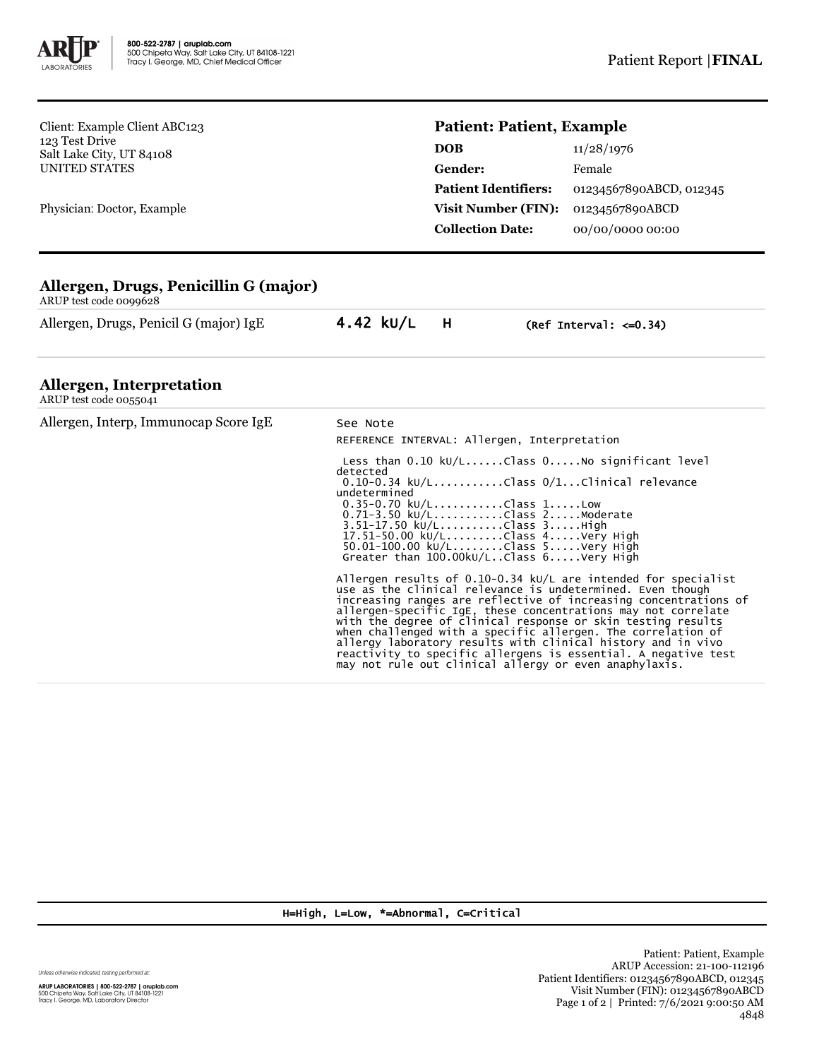

Client: Example Client ABC123 123 Test Drive Salt Lake City, UT 84108 UNITED STATES

Physician: Doctor, Example

## **Patient: Patient, Example**

| <b>DOB</b>                  | 11/28/1976              |  |
|-----------------------------|-------------------------|--|
| <b>Gender:</b>              | Female                  |  |
| <b>Patient Identifiers:</b> | 01234567890ABCD, 012345 |  |
| <b>Visit Number (FIN):</b>  | 01234567890ABCD         |  |
| <b>Collection Date:</b>     | 00/00/0000 00:00        |  |

## **Allergen, Drugs, Penicillin G (major)**

ARUP test code 0099628

Allergen, Drugs, Penicil G (major) IgE 4.42 kU/L H (Ref Interval: <= 0.34)

## **Allergen, Interpretation**

| ARUP test code 0055041                |                                                                                                                                                                                                                                                                                                                                                                                                                                                                                                                                                                                                 |  |  |
|---------------------------------------|-------------------------------------------------------------------------------------------------------------------------------------------------------------------------------------------------------------------------------------------------------------------------------------------------------------------------------------------------------------------------------------------------------------------------------------------------------------------------------------------------------------------------------------------------------------------------------------------------|--|--|
| Allergen, Interp, Immunocap Score IgE | See Note<br>REFERENCE INTERVAL: Allergen, Interpretation                                                                                                                                                                                                                                                                                                                                                                                                                                                                                                                                        |  |  |
|                                       | Less than $0.10 \ \text{kU/L} \dots \dots \text{Class } 0 \dots \dots \text{No significant level}$<br>detected<br>$0.10-0.34$ kU/LClass $0/1$ Clinical relevance<br>undetermined<br>$0.35 - 0.70$ kU/LClass 1Low<br>0.71-3.50 kU/LClass 2Moderate<br>3.51-17.50 kU/LClass 3High<br>17.51-50.00 kU/LClass 4Very High<br>50.01-100.00 kU/LClass 5Very High<br>Greater than $100.00$ kU/LClass $6. \ldots$ .Very High                                                                                                                                                                              |  |  |
|                                       | Allergen results of $0.10-0.34$ kU/L are intended for specialist<br>use as the clinical relevance is undetermined. Even though<br>increasing ranges are reflective of increasing concentrations of<br>allergen-specific IgE, these concentrations may not correlate<br>with the degree of clinical response or skin testing results<br>when challenged with a specific allergen. The correlation of<br>allergy laboratory results with clinical history and in vivo<br>reactivity to specific allergens is essential. A negative test<br>may not rule out clinical allergy or even anaphylaxis. |  |  |

H=High, L=Low, \*=Abnormal, C=Critical

Unless otherwise indicated, testing performed at:

**ARUP LABORATORIES | 800-522-2787 | aruplab.com**<br>500 Chipeta Way, Salt Lake City, UT 84108-1221<br>Tracy I. George, MD, Laboratory Director

Patient: Patient, Example ARUP Accession: 21-100-112196 Patient Identifiers: 01234567890ABCD, 012345 Visit Number (FIN): 01234567890ABCD Page 1 of 2 | Printed: 7/6/2021 9:00:50 AM 4848